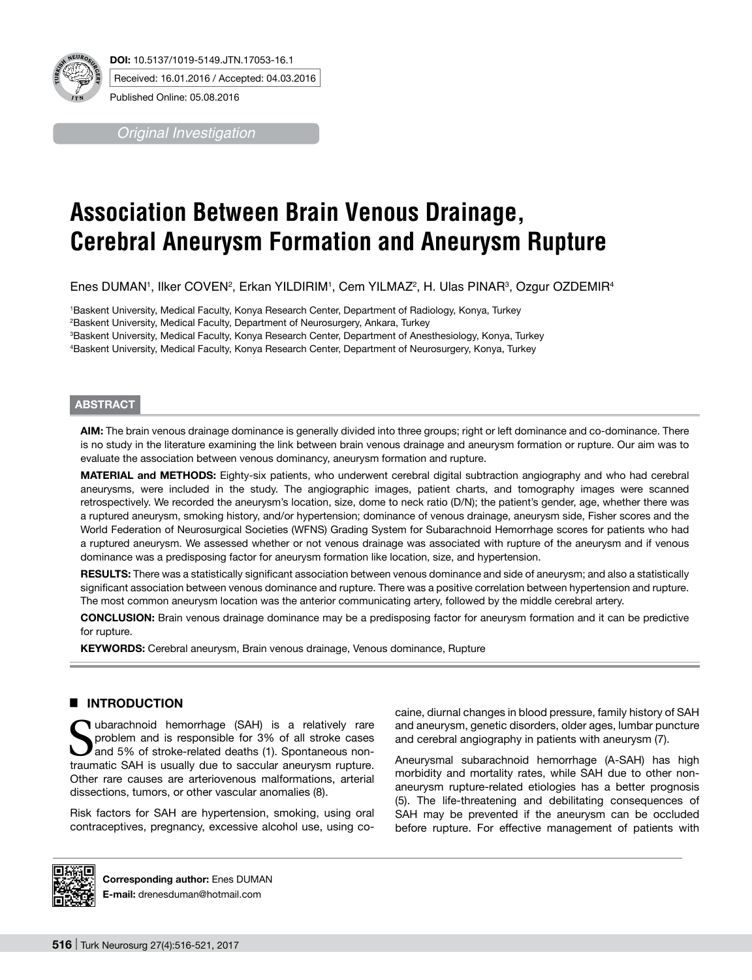

*Original Investigation*

# **Association Between Brain Venous Drainage, Cerebral Aneurysm Formation and Aneurysm Rupture**

Enes DUMAN1, Ilker COVEN<sup>2</sup>, Erkan YILDIRIM1, Cem YILMAZ<sup>2</sup>, H. Ulas PINAR3, Ozgur OZDEMIR4

 Baskent University, Medical Faculty, Konya Research Center, Department of Radiology, Konya, Turkey Baskent University, Medical Faculty, Department of Neurosurgery, Ankara, Turkey Baskent University, Medical Faculty, Konya Research Center, Department of Anesthesiology, Konya, Turkey Baskent University, Medical Faculty, Konya Research Center, Department of Neurosurgery, Konya, Turkey

#### **ABSTRACT**

**AIm:** The brain venous drainage dominance is generally divided into three groups; right or left dominance and co-dominance. There is no study in the literature examining the link between brain venous drainage and aneurysm formation or rupture. Our aim was to evaluate the association between venous dominancy, aneurysm formation and rupture.

**MaterIal and Methods:** Eighty-six patients, who underwent cerebral digital subtraction angiography and who had cerebral aneurysms, were included in the study. The angiographic images, patient charts, and tomography images were scanned retrospectively. We recorded the aneurysm's location, size, dome to neck ratio (D/N); the patient's gender, age, whether there was a ruptured aneurysm, smoking history, and/or hypertension; dominance of venous drainage, aneurysm side, Fisher scores and the World Federation of Neurosurgical Societies (WFNS) Grading System for Subarachnoid Hemorrhage scores for patients who had a ruptured aneurysm. We assessed whether or not venous drainage was associated with rupture of the aneurysm and if venous dominance was a predisposing factor for aneurysm formation like location, size, and hypertension.

RESULTS: There was a statistically significant association between venous dominance and side of aneurysm; and also a statistically significant association between venous dominance and rupture. There was a positive correlation between hypertension and rupture. The most common aneurysm location was the anterior communicating artery, followed by the middle cerebral artery.

**ConclusIon:** Brain venous drainage dominance may be a predisposing factor for aneurysm formation and it can be predictive for rupture.

**KEYWORDS:** Cerebral aneurysm, Brain venous drainage, Venous dominance, Rupture

# █ **INTRODUCTION**

Subarachnoid hemorrhage (SAH) is a relatively rare problem and is responsible for 3% of all stroke cases and 5% of stroke-related deaths (1). Spontaneous nonproblem and is responsible for 3% of all stroke cases traumatic SAH is usually due to saccular aneurysm rupture. Other rare causes are arteriovenous malformations, arterial dissections, tumors, or other vascular anomalies (8).

Risk factors for SAH are hypertension, smoking, using oral contraceptives, pregnancy, excessive alcohol use, using cocaine, diurnal changes in blood pressure, family history of SAH and aneurysm, genetic disorders, older ages, lumbar puncture and cerebral angiography in patients with aneurysm (7).

Aneurysmal subarachnoid hemorrhage (A-SAH) has high morbidity and mortality rates, while SAH due to other nonaneurysm rupture-related etiologies has a better prognosis (5). The life-threatening and debilitating consequences of SAH may be prevented if the aneurysm can be occluded before rupture. For effective management of patients with



**Corresponding author:** Enes DUMAN **E-mail:** drenesduman@hotmail.com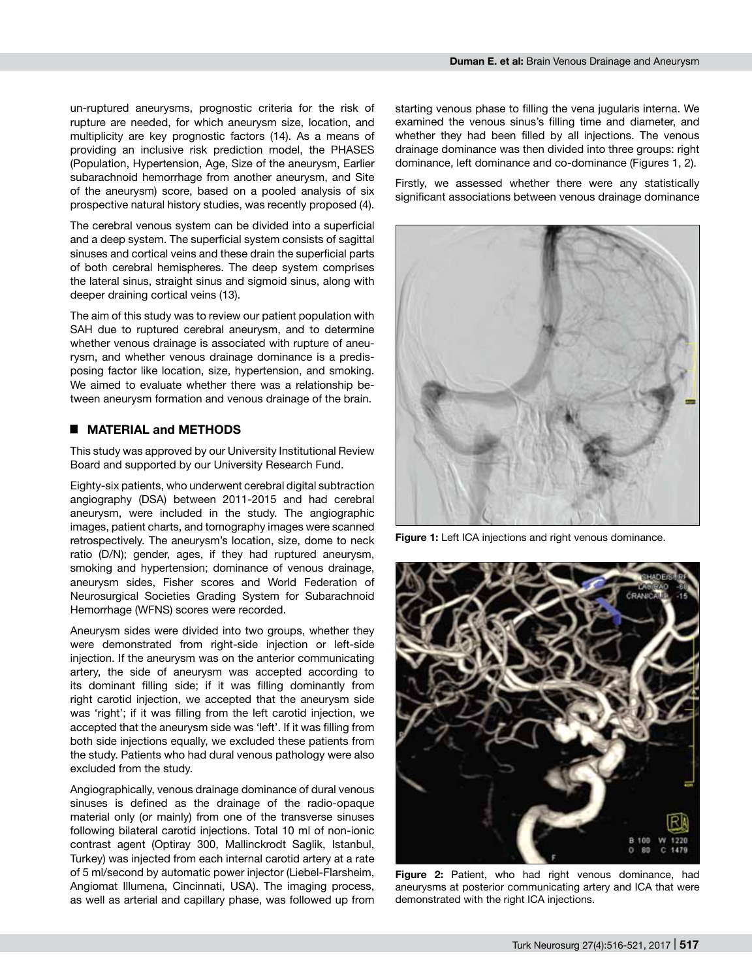un-ruptured aneurysms, prognostic criteria for the risk of rupture are needed, for which aneurysm size, location, and multiplicity are key prognostic factors (14). As a means of providing an inclusive risk prediction model, the PHASES (Population, Hypertension, Age, Size of the aneurysm, Earlier subarachnoid hemorrhage from another aneurysm, and Site of the aneurysm) score, based on a pooled analysis of six prospective natural history studies, was recently proposed (4).

The cerebral venous system can be divided into a superficial and a deep system. The superficial system consists of sagittal sinuses and cortical veins and these drain the superficial parts of both cerebral hemispheres. The deep system comprises the lateral sinus, straight sinus and sigmoid sinus, along with deeper draining cortical veins (13).

The aim of this study was to review our patient population with SAH due to ruptured cerebral aneurysm, and to determine whether venous drainage is associated with rupture of aneurysm, and whether venous drainage dominance is a predisposing factor like location, size, hypertension, and smoking. We aimed to evaluate whether there was a relationship between aneurysm formation and venous drainage of the brain.

#### █ **MATERIAL and METHODS**

This study was approved by our University Institutional Review Board and supported by our University Research Fund.

Eighty-six patients, who underwent cerebral digital subtraction angiography (DSA) between 2011-2015 and had cerebral aneurysm, were included in the study. The angiographic images, patient charts, and tomography images were scanned retrospectively. The aneurysm's location, size, dome to neck ratio (D/N); gender, ages, if they had ruptured aneurysm, smoking and hypertension; dominance of venous drainage, aneurysm sides, Fisher scores and World Federation of Neurosurgical Societies Grading System for Subarachnoid Hemorrhage (WFNS) scores were recorded.

Aneurysm sides were divided into two groups, whether they were demonstrated from right-side injection or left-side injection. If the aneurysm was on the anterior communicating artery, the side of aneurysm was accepted according to its dominant filling side; if it was filling dominantly from right carotid injection, we accepted that the aneurysm side was 'right'; if it was filling from the left carotid injection, we accepted that the aneurysm side was 'left'. If it was filling from both side injections equally, we excluded these patients from the study. Patients who had dural venous pathology were also excluded from the study.

Angiographically, venous drainage dominance of dural venous sinuses is defined as the drainage of the radio-opaque material only (or mainly) from one of the transverse sinuses following bilateral carotid injections. Total 10 ml of non-ionic contrast agent (Optiray 300, Mallinckrodt Saglik, Istanbul, Turkey) was injected from each internal carotid artery at a rate of 5 ml/second by automatic power injector (Liebel-Flarsheim, Angiomat Illumena, Cincinnati, USA). The imaging process, as well as arterial and capillary phase, was followed up from starting venous phase to filling the vena jugularis interna. We examined the venous sinus's filling time and diameter, and whether they had been filled by all injections. The venous drainage dominance was then divided into three groups: right dominance, left dominance and co-dominance (Figures 1, 2).

Firstly, we assessed whether there were any statistically significant associations between venous drainage dominance



**Figure 1:** Left ICA injections and right venous dominance.



**Figure 2:** Patient, who had right venous dominance, had aneurysms at posterior communicating artery and ICA that were demonstrated with the right ICA injections.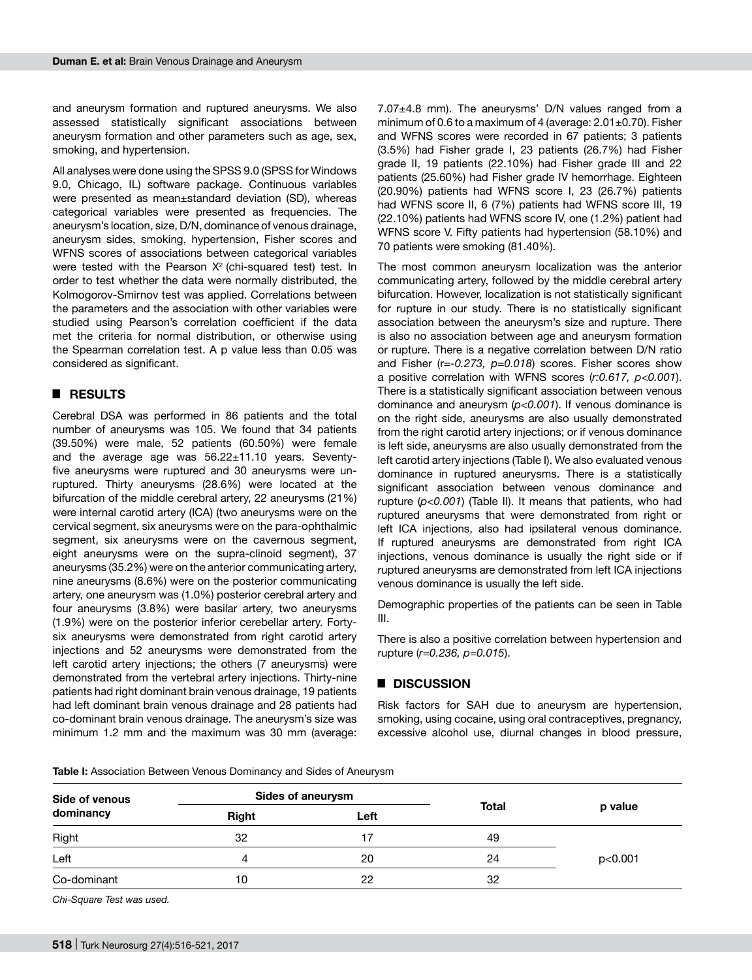and aneurysm formation and ruptured aneurysms. We also assessed statistically significant associations between aneurysm formation and other parameters such as age, sex, smoking, and hypertension.

All analyses were done using the SPSS 9.0 (SPSS for Windows 9.0, Chicago, IL) software package. Continuous variables were presented as mean±standard deviation (SD), whereas categorical variables were presented as frequencies. The aneurysm's location, size, D/N, dominance of venous drainage, aneurysm sides, smoking, hypertension, Fisher scores and WFNS scores of associations between categorical variables were tested with the Pearson  $X^2$  (chi-squared test) test. In order to test whether the data were normally distributed, the Kolmogorov-Smirnov test was applied. Correlations between the parameters and the association with other variables were studied using Pearson's correlation coefficient if the data met the criteria for normal distribution, or otherwise using the Spearman correlation test. A p value less than 0.05 was considered as significant.

# █ **RESULTS**

Cerebral DSA was performed in 86 patients and the total number of aneurysms was 105. We found that 34 patients (39.50%) were male, 52 patients (60.50%) were female and the average age was 56.22±11.10 years. Seventyfive aneurysms were ruptured and 30 aneurysms were unruptured. Thirty aneurysms (28.6%) were located at the bifurcation of the middle cerebral artery, 22 aneurysms (21%) were internal carotid artery (ICA) (two aneurysms were on the cervical segment, six aneurysms were on the para-ophthalmic segment, six aneurysms were on the cavernous segment, eight aneurysms were on the supra-clinoid segment), 37 aneurysms (35.2%) were on the anterior communicating artery, nine aneurysms (8.6%) were on the posterior communicating artery, one aneurysm was (1.0%) posterior cerebral artery and four aneurysms (3.8%) were basilar artery, two aneurysms (1.9%) were on the posterior inferior cerebellar artery. Fortysix aneurysms were demonstrated from right carotid artery injections and 52 aneurysms were demonstrated from the left carotid artery injections; the others (7 aneurysms) were demonstrated from the vertebral artery injections. Thirty-nine patients had right dominant brain venous drainage, 19 patients had left dominant brain venous drainage and 28 patients had co-dominant brain venous drainage. The aneurysm's size was minimum 1.2 mm and the maximum was 30 mm (average:

7.07±4.8 mm). The aneurysms' D/N values ranged from a minimum of 0.6 to a maximum of 4 (average: 2.01±0.70). Fisher and WFNS scores were recorded in 67 patients; 3 patients (3.5%) had Fisher grade I, 23 patients (26.7%) had Fisher grade II, 19 patients (22.10%) had Fisher grade III and 22 patients (25.60%) had Fisher grade IV hemorrhage. Eighteen (20.90%) patients had WFNS score I, 23 (26.7%) patients had WFNS score II, 6 (7%) patients had WFNS score III, 19 (22.10%) patients had WFNS score IV, one (1.2%) patient had WFNS score V. Fifty patients had hypertension (58.10%) and 70 patients were smoking (81.40%).

The most common aneurysm localization was the anterior communicating artery, followed by the middle cerebral artery bifurcation. However, localization is not statistically significant for rupture in our study. There is no statistically significant association between the aneurysm's size and rupture. There is also no association between age and aneurysm formation or rupture. There is a negative correlation between D/N ratio and Fisher (r*=-0.273, p=0.018*) scores. Fisher scores show a positive correlation with WFNS scores (*r:0.617, p<0.001*). There is a statistically significant association between venous dominance and aneurysm (*p<0.001*). If venous dominance is on the right side, aneurysms are also usually demonstrated from the right carotid artery injections; or if venous dominance is left side, aneurysms are also usually demonstrated from the left carotid artery injections (Table I). We also evaluated venous dominance in ruptured aneurysms. There is a statistically significant association between venous dominance and rupture (*p<0.001*) (Table II). It means that patients, who had ruptured aneurysms that were demonstrated from right or left ICA injections, also had ipsilateral venous dominance. If ruptured aneurysms are demonstrated from right ICA injections, venous dominance is usually the right side or if ruptured aneurysms are demonstrated from left ICA injections venous dominance is usually the left side.

Demographic properties of the patients can be seen in Table III.

There is also a positive correlation between hypertension and rupture (*r=0.236, p=0.015*).

## █ **DISCUSSION**

Risk factors for SAH due to aneurysm are hypertension, smoking, using cocaine, using oral contraceptives, pregnancy, excessive alcohol use, diurnal changes in blood pressure,

**Table I:** Association Between Venous Dominancy and Sides of Aneurysm

| Side of venous<br>dominancy | Sides of aneurysm |      |              |         |
|-----------------------------|-------------------|------|--------------|---------|
|                             | Right             | Left | <b>Total</b> | p value |
| Right                       | 32                | 17   | 49           |         |
| Left                        | 4                 | 20   | 24           | p<0.001 |
| Co-dominant                 | 10                | 22   | 32           |         |

*Chi-Square Test was used.*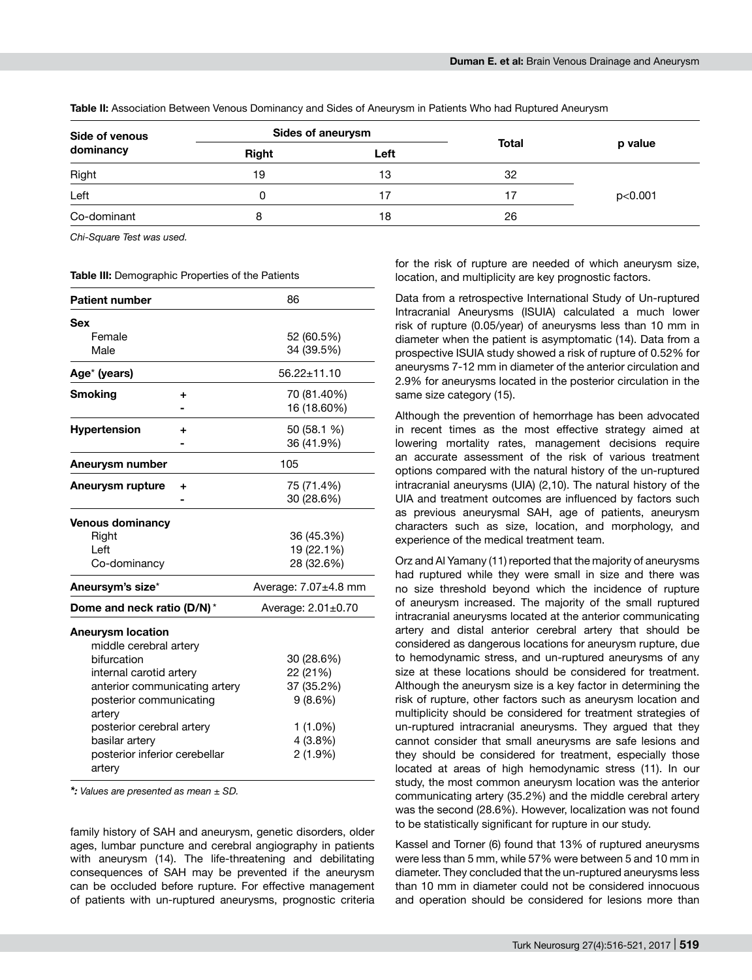| Side of venous<br>dominancy | <b>Sides of aneurysm</b> |      |              |         |
|-----------------------------|--------------------------|------|--------------|---------|
|                             | <b>Right</b>             | Left | <b>Total</b> | p value |
| Right                       | 19                       | 13   | 32           |         |
| Left                        |                          |      |              | p<0.001 |
| Co-dominant                 |                          | 18   | 26           |         |

**Table II:** Association Between Venous Dominancy and Sides of Aneurysm in Patients Who had Ruptured Aneurysm

*Chi-Square Test was used.* 

**Table III:** Demographic Properties of the Patients

| <b>Patient number</b>             | 86                 |                      |
|-----------------------------------|--------------------|----------------------|
| Sex                               |                    |                      |
| Female                            |                    | 52 (60.5%)           |
| Male                              |                    | 34 (39.5%)           |
| Age* (years)                      |                    | $56.22 \pm 11.10$    |
| <b>Smoking</b>                    | +                  | 70 (81.40%)          |
|                                   |                    | 16 (18.60%)          |
| <b>Hypertension</b>               | ٠                  | 50 (58.1 %)          |
|                                   |                    | 36 (41.9%)           |
| Aneurysm number                   |                    | 105                  |
| Aneurysm rupture                  | ٠                  | 75 (71.4%)           |
|                                   |                    | 30 (28.6%)           |
| <b>Venous dominancy</b>           |                    |                      |
| Right                             |                    | 36 (45.3%)           |
| Left                              |                    | 19 (22.1%)           |
| Co-dominancy                      |                    | 28 (32.6%)           |
| Aneursym's size*                  |                    | Average: 7.07±4.8 mm |
| Dome and neck ratio (D/N)*        | Average: 2.01±0.70 |                      |
| <b>Aneurysm location</b>          |                    |                      |
| middle cerebral artery            |                    |                      |
| bifurcation                       | 30 (28.6%)         |                      |
| internal carotid artery           | 22 (21%)           |                      |
| anterior communicating artery     | 37 (35.2%)         |                      |
| posterior communicating<br>artery |                    | 9(8.6%)              |
| posterior cerebral artery         |                    | 1 (1.0%)             |
| basilar artery                    |                    | 4(3.8%)              |
| posterior inferior cerebellar     |                    | $2(1.9\%)$           |
| artery                            |                    |                      |

*\*: Values are presented as mean ± SD.*

family history of SAH and aneurysm, genetic disorders, older ages, lumbar puncture and cerebral angiography in patients with aneurysm (14). The life-threatening and debilitating consequences of SAH may be prevented if the aneurysm can be occluded before rupture. For effective management of patients with un-ruptured aneurysms, prognostic criteria for the risk of rupture are needed of which aneurysm size, location, and multiplicity are key prognostic factors.

Data from a retrospective International Study of Un-ruptured Intracranial Aneurysms (ISUIA) calculated a much lower risk of rupture (0.05/year) of aneurysms less than 10 mm in diameter when the patient is asymptomatic (14). Data from a prospective ISUIA study showed a risk of rupture of 0.52% for aneurysms 7-12 mm in diameter of the anterior circulation and 2.9% for aneurysms located in the posterior circulation in the same size category (15).

Although the prevention of hemorrhage has been advocated in recent times as the most effective strategy aimed at lowering mortality rates, management decisions require an accurate assessment of the risk of various treatment options compared with the natural history of the un-ruptured intracranial aneurysms (UIA) (2,10). The natural history of the UIA and treatment outcomes are influenced by factors such as previous aneurysmal SAH, age of patients, aneurysm characters such as size, location, and morphology, and experience of the medical treatment team.

Orz and Al Yamany (11) reported that the majority of aneurysms had ruptured while they were small in size and there was no size threshold beyond which the incidence of rupture of aneurysm increased. The majority of the small ruptured intracranial aneurysms located at the anterior communicating artery and distal anterior cerebral artery that should be considered as dangerous locations for aneurysm rupture, due to hemodynamic stress, and un-ruptured aneurysms of any size at these locations should be considered for treatment. Although the aneurysm size is a key factor in determining the risk of rupture, other factors such as aneurysm location and multiplicity should be considered for treatment strategies of un-ruptured intracranial aneurysms. They argued that they cannot consider that small aneurysms are safe lesions and they should be considered for treatment, especially those located at areas of high hemodynamic stress (11). In our study, the most common aneurysm location was the anterior communicating artery (35.2%) and the middle cerebral artery was the second (28.6%). However, localization was not found to be statistically significant for rupture in our study.

Kassel and Torner (6) found that 13% of ruptured aneurysms were less than 5 mm, while 57% were between 5 and 10 mm in diameter. They concluded that the un-ruptured aneurysms less than 10 mm in diameter could not be considered innocuous and operation should be considered for lesions more than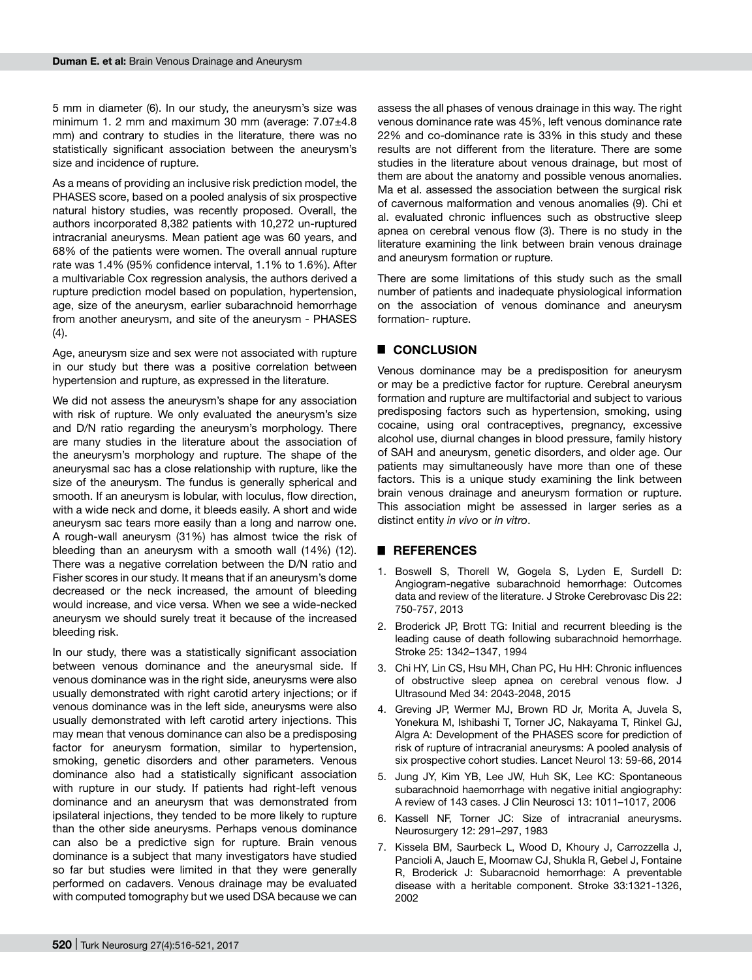5 mm in diameter (6). In our study, the aneurysm's size was minimum 1. 2 mm and maximum 30 mm (average:  $7.07\pm4.8$ mm) and contrary to studies in the literature, there was no statistically significant association between the aneurysm's size and incidence of rupture.

As a means of providing an inclusive risk prediction model, the PHASES score, based on a pooled analysis of six prospective natural history studies, was recently proposed. Overall, the authors incorporated 8,382 patients with 10,272 un-ruptured intracranial aneurysms. Mean patient age was 60 years, and 68% of the patients were women. The overall annual rupture rate was 1.4% (95% confidence interval, 1.1% to 1.6%). After a multivariable Cox regression analysis, the authors derived a rupture prediction model based on population, hypertension, age, size of the aneurysm, earlier subarachnoid hemorrhage from another aneurysm, and site of the aneurysm - PHASES (4).

Age, aneurysm size and sex were not associated with rupture in our study but there was a positive correlation between hypertension and rupture, as expressed in the literature.

We did not assess the aneurysm's shape for any association with risk of rupture. We only evaluated the aneurysm's size and D/N ratio regarding the aneurysm's morphology. There are many studies in the literature about the association of the aneurysm's morphology and rupture. The shape of the aneurysmal sac has a close relationship with rupture, like the size of the aneurysm. The fundus is generally spherical and smooth. If an aneurysm is lobular, with loculus, flow direction, with a wide neck and dome, it bleeds easily. A short and wide aneurysm sac tears more easily than a long and narrow one. A rough-wall aneurysm (31%) has almost twice the risk of bleeding than an aneurysm with a smooth wall (14%) (12). There was a negative correlation between the D/N ratio and Fisher scores in our study. It means that if an aneurysm's dome decreased or the neck increased, the amount of bleeding would increase, and vice versa. When we see a wide-necked aneurysm we should surely treat it because of the increased bleeding risk.

In our study, there was a statistically significant association between venous dominance and the aneurysmal side. If venous dominance was in the right side, aneurysms were also usually demonstrated with right carotid artery injections; or if venous dominance was in the left side, aneurysms were also usually demonstrated with left carotid artery injections. This may mean that venous dominance can also be a predisposing factor for aneurysm formation, similar to hypertension, smoking, genetic disorders and other parameters. Venous dominance also had a statistically significant association with rupture in our study. If patients had right-left venous dominance and an aneurysm that was demonstrated from ipsilateral injections, they tended to be more likely to rupture than the other side aneurysms. Perhaps venous dominance can also be a predictive sign for rupture. Brain venous dominance is a subject that many investigators have studied so far but studies were limited in that they were generally performed on cadavers. Venous drainage may be evaluated with computed tomography but we used DSA because we can assess the all phases of venous drainage in this way. The right venous dominance rate was 45%, left venous dominance rate 22% and co-dominance rate is 33% in this study and these results are not different from the literature. There are some studies in the literature about venous drainage, but most of them are about the anatomy and possible venous anomalies. Ma et al. assessed the association between the surgical risk of cavernous malformation and venous anomalies (9). Chi et al. evaluated chronic influences such as obstructive sleep apnea on cerebral venous flow (3). There is no study in the literature examining the link between brain venous drainage and aneurysm formation or rupture.

There are some limitations of this study such as the small number of patients and inadequate physiological information on the association of venous dominance and aneurysm formation- rupture.

## █ **CONCLUSION**

Venous dominance may be a predisposition for aneurysm or may be a predictive factor for rupture. Cerebral aneurysm formation and rupture are multifactorial and subject to various predisposing factors such as hypertension, smoking, using cocaine, using oral contraceptives, pregnancy, excessive alcohol use, diurnal changes in blood pressure, family history of SAH and aneurysm, genetic disorders, and older age. Our patients may simultaneously have more than one of these factors. This is a unique study examining the link between brain venous drainage and aneurysm formation or rupture. This association might be assessed in larger series as a distinct entity *in vivo* or *in vitro*.

### █ **REFERENCES**

- 1. Boswell S, Thorell W, Gogela S, Lyden E, Surdell D: Angiogram-negative subarachnoid hemorrhage: Outcomes data and review of the literature. J Stroke Cerebrovasc Dis 22: 750-757, 2013
- 2. Broderick JP, Brott TG: Initial and recurrent bleeding is the leading cause of death following subarachnoid hemorrhage. Stroke 25: 1342–1347, 1994
- 3. Chi HY, Lin CS, Hsu MH, Chan PC, Hu HH: Chronic influences of obstructive sleep apnea on cerebral venous flow. J Ultrasound Med 34: 2043-2048, 2015
- 4. Greving JP, Wermer MJ, Brown RD Jr, Morita A, Juvela S, Yonekura M, Ishibashi T, Torner JC, Nakayama T, Rinkel GJ, Algra A: Development of the PHASES score for prediction of risk of rupture of intracranial aneurysms: A pooled analysis of six prospective cohort studies. Lancet Neurol 13: 59-66, 2014
- 5. Jung JY, Kim YB, Lee JW, Huh SK, Lee KC: Spontaneous subarachnoid haemorrhage with negative initial angiography: A review of 143 cases. J Clin Neurosci 13: 1011–1017, 2006
- 6. Kassell NF, Torner JC: Size of intracranial aneurysms. Neurosurgery 12: 291–297, 1983
- 7. Kissela BM, Saurbeck L, Wood D, Khoury J, Carrozzella J, Pancioli A, Jauch E, Moomaw CJ, Shukla R, Gebel J, Fontaine R, Broderick J: Subaracnoid hemorrhage: A preventable disease with a heritable component. Stroke 33:1321-1326, 2002